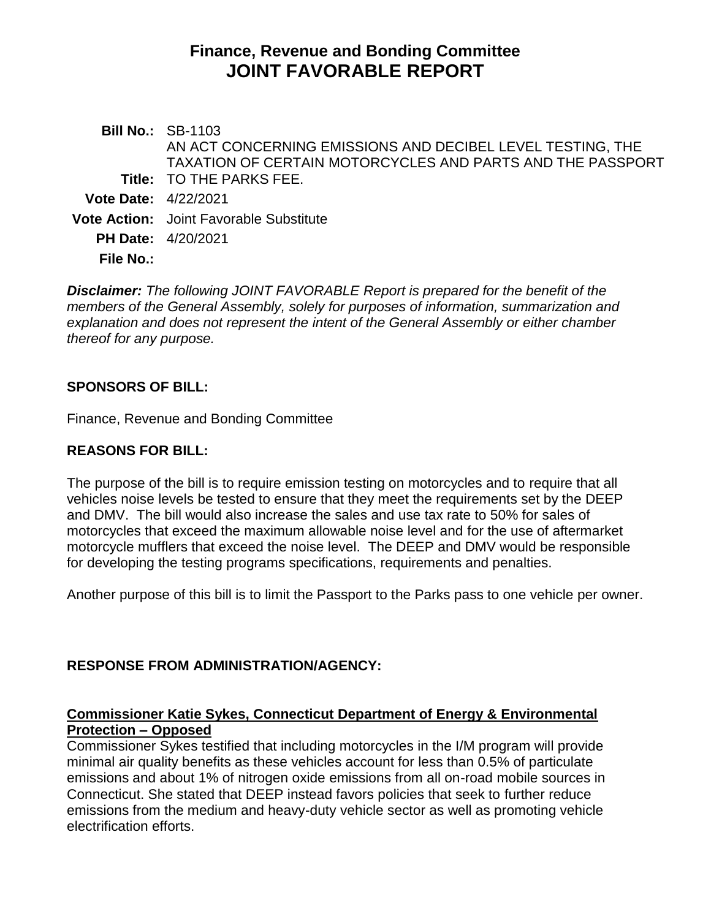# **Finance, Revenue and Bonding Committee JOINT FAVORABLE REPORT**

**Bill No.:** SB-1103 **Title:** TO THE PARKS FEE. AN ACT CONCERNING EMISSIONS AND DECIBEL LEVEL TESTING, THE TAXATION OF CERTAIN MOTORCYCLES AND PARTS AND THE PASSPORT **Vote Date:** 4/22/2021 **Vote Action:** Joint Favorable Substitute **PH Date:** 4/20/2021 **File No.:**

*Disclaimer: The following JOINT FAVORABLE Report is prepared for the benefit of the members of the General Assembly, solely for purposes of information, summarization and explanation and does not represent the intent of the General Assembly or either chamber thereof for any purpose.*

## **SPONSORS OF BILL:**

Finance, Revenue and Bonding Committee

## **REASONS FOR BILL:**

The purpose of the bill is to require emission testing on motorcycles and to require that all vehicles noise levels be tested to ensure that they meet the requirements set by the DEEP and DMV. The bill would also increase the sales and use tax rate to 50% for sales of motorcycles that exceed the maximum allowable noise level and for the use of aftermarket motorcycle mufflers that exceed the noise level. The DEEP and DMV would be responsible for developing the testing programs specifications, requirements and penalties.

Another purpose of this bill is to limit the Passport to the Parks pass to one vehicle per owner.

# **RESPONSE FROM ADMINISTRATION/AGENCY:**

## **Commissioner Katie Sykes, Connecticut Department of Energy & Environmental Protection – Opposed**

Commissioner Sykes testified that including motorcycles in the I/M program will provide minimal air quality benefits as these vehicles account for less than 0.5% of particulate emissions and about 1% of nitrogen oxide emissions from all on-road mobile sources in Connecticut. She stated that DEEP instead favors policies that seek to further reduce emissions from the medium and heavy-duty vehicle sector as well as promoting vehicle electrification efforts.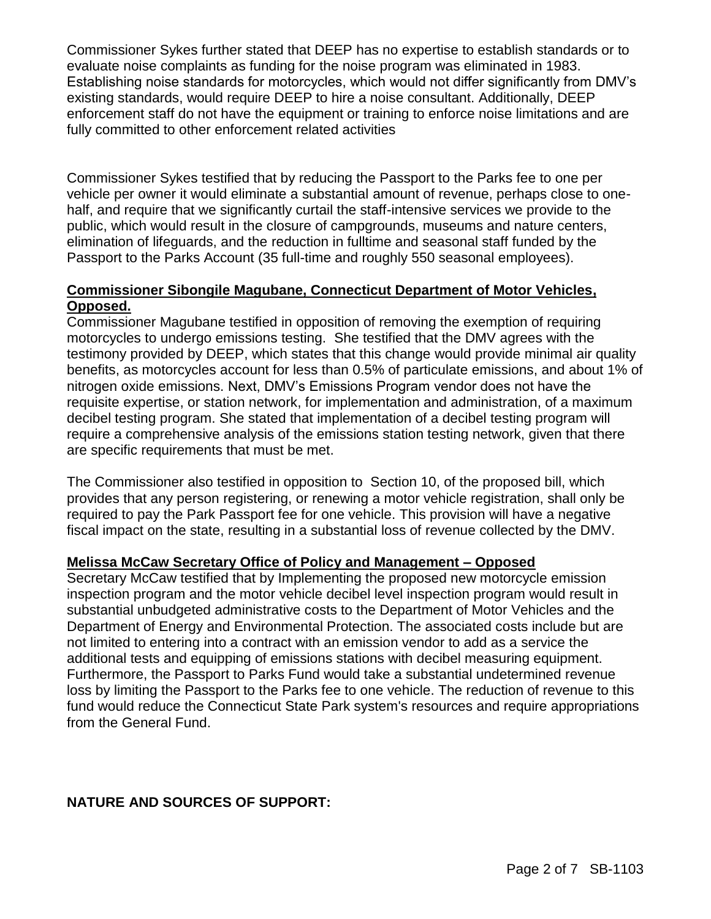Commissioner Sykes further stated that DEEP has no expertise to establish standards or to evaluate noise complaints as funding for the noise program was eliminated in 1983. Establishing noise standards for motorcycles, which would not differ significantly from DMV's existing standards, would require DEEP to hire a noise consultant. Additionally, DEEP enforcement staff do not have the equipment or training to enforce noise limitations and are fully committed to other enforcement related activities

Commissioner Sykes testified that by reducing the Passport to the Parks fee to one per vehicle per owner it would eliminate a substantial amount of revenue, perhaps close to onehalf, and require that we significantly curtail the staff-intensive services we provide to the public, which would result in the closure of campgrounds, museums and nature centers, elimination of lifeguards, and the reduction in fulltime and seasonal staff funded by the Passport to the Parks Account (35 full-time and roughly 550 seasonal employees).

#### **Commissioner Sibongile Magubane, Connecticut Department of Motor Vehicles, Opposed.**

Commissioner Magubane testified in opposition of removing the exemption of requiring motorcycles to undergo emissions testing. She testified that the DMV agrees with the testimony provided by DEEP, which states that this change would provide minimal air quality benefits, as motorcycles account for less than 0.5% of particulate emissions, and about 1% of nitrogen oxide emissions. Next, DMV's Emissions Program vendor does not have the requisite expertise, or station network, for implementation and administration, of a maximum decibel testing program. She stated that implementation of a decibel testing program will require a comprehensive analysis of the emissions station testing network, given that there are specific requirements that must be met.

The Commissioner also testified in opposition to Section 10, of the proposed bill, which provides that any person registering, or renewing a motor vehicle registration, shall only be required to pay the Park Passport fee for one vehicle. This provision will have a negative fiscal impact on the state, resulting in a substantial loss of revenue collected by the DMV.

#### **Melissa McCaw Secretary Office of Policy and Management – Opposed**

Secretary McCaw testified that by Implementing the proposed new motorcycle emission inspection program and the motor vehicle decibel level inspection program would result in substantial unbudgeted administrative costs to the Department of Motor Vehicles and the Department of Energy and Environmental Protection. The associated costs include but are not limited to entering into a contract with an emission vendor to add as a service the additional tests and equipping of emissions stations with decibel measuring equipment. Furthermore, the Passport to Parks Fund would take a substantial undetermined revenue loss by limiting the Passport to the Parks fee to one vehicle. The reduction of revenue to this fund would reduce the Connecticut State Park system's resources and require appropriations from the General Fund.

## **NATURE AND SOURCES OF SUPPORT:**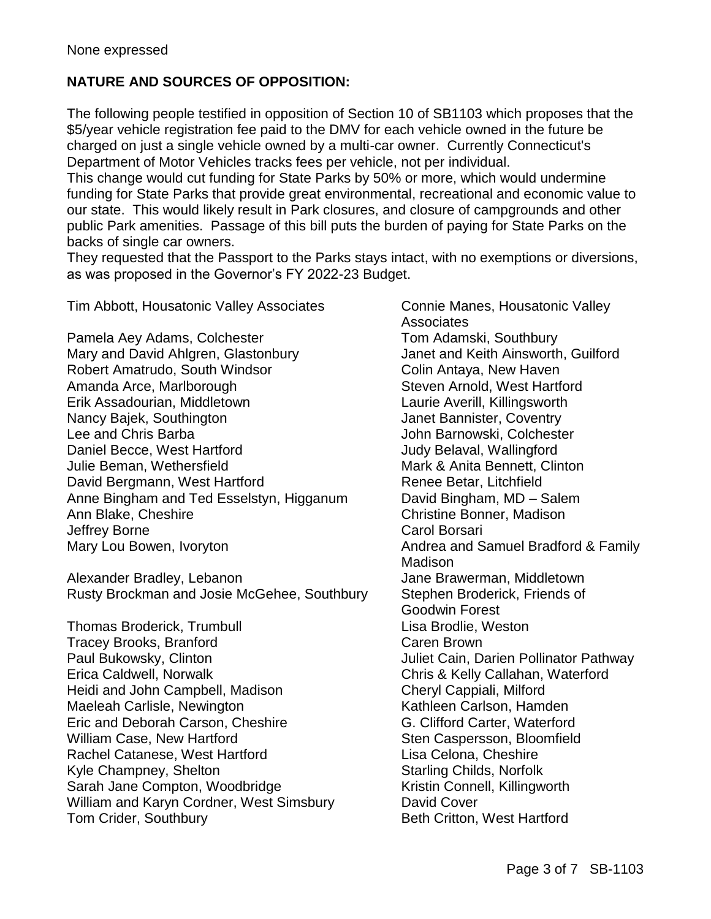# **NATURE AND SOURCES OF OPPOSITION:**

The following people testified in opposition of Section 10 of SB1103 which proposes that the \$5/year vehicle registration fee paid to the DMV for each vehicle owned in the future be charged on just a single vehicle owned by a multi-car owner. Currently Connecticut's Department of Motor Vehicles tracks fees per vehicle, not per individual.

This change would cut funding for State Parks by 50% or more, which would undermine funding for State Parks that provide great environmental, recreational and economic value to our state. This would likely result in Park closures, and closure of campgrounds and other public Park amenities. Passage of this bill puts the burden of paying for State Parks on the backs of single car owners.

They requested that the Passport to the Parks stays intact, with no exemptions or diversions, as was proposed in the Governor's FY 2022-23 Budget.

Tim Abbott, Housatonic Valley Associates Connie Manes, Housatonic Valley

Pamela Aey Adams, Colchester Tom Adamski, Southbury Mary and David Ahlgren, Glastonbury Janet and Keith Ainsworth, Guilford Robert Amatrudo, South Windsor Colin Antaya, New Haven Amanda Arce, Marlborough Steven Arnold, West Hartford Erik Assadourian, Middletown Laurie Averill, Killingsworth Nancy Bajek, Southington **Janet Bannister, Coventry** Lee and Chris Barba John Barnowski, Colchester Daniel Becce, West Hartford **Container Containers** Judy Belaval, Wallingford Julie Beman, Wethersfield Mark & Anita Bennett, Clinton David Bergmann, West Hartford Renee Betar, Litchfield Anne Bingham and Ted Esselstyn, Higganum David Bingham, MD – Salem Ann Blake, Cheshire Christine Bonner, Madison Jeffrey Borne **Carol Borsari** Carol Borsari Mary Lou Bowen, Ivoryton **Andrea and Samuel Bradford & Family** 

Alexander Bradley, Lebanon **Jane Brawerman, Middletown** Rusty Brockman and Josie McGehee, Southbury Stephen Broderick, Friends of

Thomas Broderick, Trumbull **Lisa Brodlie**, Weston Tracey Brooks, Branford **Caren Brown** Paul Bukowsky, Clinton **Juliet Cain, Darien Pollinator Pathway** Erica Caldwell, Norwalk Chris & Kelly Callahan, Waterford Heidi and John Campbell, Madison Cheryl Cappiali, Milford Maeleah Carlisle, Newington **Kathleen Carlson, Hamden** Eric and Deborah Carson, Cheshire G. Clifford Carter, Waterford William Case, New Hartford **Sten Caspersson, Bloomfield** Sten Caspersson, Bloomfield Rachel Catanese, West Hartford **Lisa Celona, Cheshire** Kyle Champney, Shelton Starling Childs, Norfolk Sarah Jane Compton, Woodbridge Kristin Connell, Killingworth William and Karyn Cordner, West Simsbury David Cover Tom Crider, Southbury **Beth Critton**, West Hartford

**Associates** Madison Goodwin Forest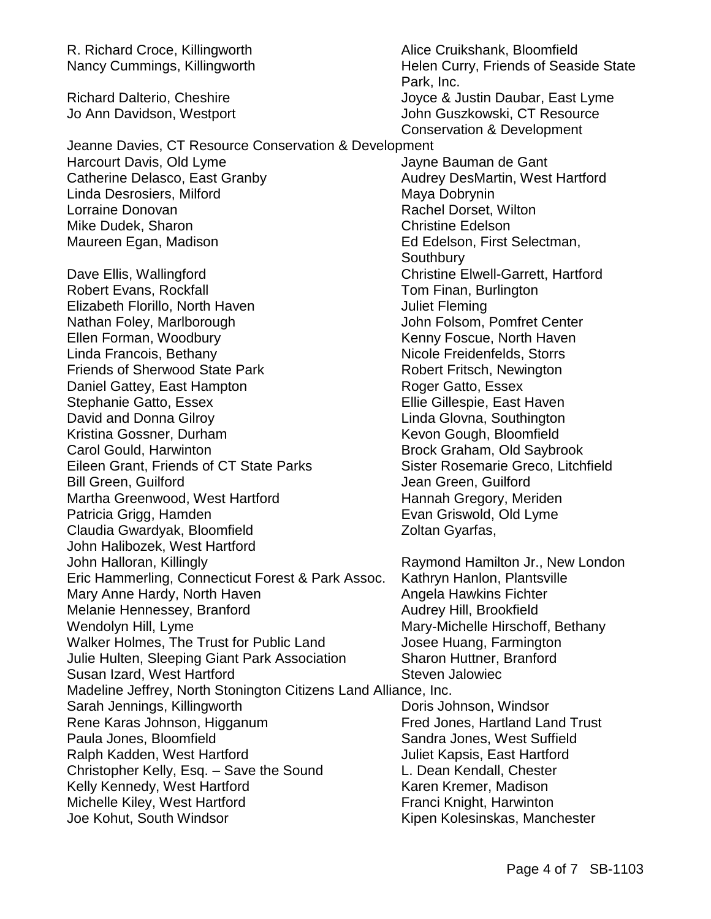R. Richard Croce, Killingworth **Alice Cruikshank, Bloomfield** Nancy Cummings, Killingworth Helen Curry, Friends of Seaside State Park, Inc. Richard Dalterio, Cheshire **Interpretent and School School** Joyce & Justin Daubar, East Lyme Jo Ann Davidson, Westport John Guszkowski, CT Resource Conservation & Development Jeanne Davies, CT Resource Conservation & Development Harcourt Davis, Old Lyme Jayne Bauman de Gant Catherine Delasco, East Granby **Audrey DesMartin, West Hartford** Linda Desrosiers, Milford Maya Dobrynin Lorraine Donovan **Rachel Dorset, Wilton** Mike Dudek, Sharon Christine Edelson Maureen Egan, Madison **Ed Edelson, First Selectman**, **Southbury** Dave Ellis, Wallingford **Christine Elwell-Garrett, Hartford** Robert Evans, Rockfall **Tom Finan, Burlington** Elizabeth Florillo, North Haven **Juliet Fleming** Nathan Foley, Marlborough John Folsom, Pomfret Center Ellen Forman, Woodbury **Kenny Foscue, North Haven** Linda Francois, Bethany Nicole Freidenfelds, Storrs Friends of Sherwood State Park Robert Fritsch, Newington Daniel Gattey, East Hampton Roger Gatto, Essex Stephanie Gatto, Essex **Ellie Gillespie, East Haven** David and Donna Gilroy Chronical Communication Chronical Chronic Linda Glovna, Southington Kristina Gossner, Durham Kevon Gough, Bloomfield Carol Gould, Harwinton **Brock Graham, Old Saybrook** Eileen Grant, Friends of CT State Parks Sister Rosemarie Greco, Litchfield Bill Green, Guilford **Green, Guilford** Jean Green, Guilford Martha Greenwood, West Hartford Hannah Gregory, Meriden Patricia Grigg, Hamden **Evan Griswold, Old Lyme** Claudia Gwardyak, Bloomfield Zoltan Gyarfas, John Halibozek, West Hartford John Halloran, Killingly Raymond Hamilton Jr., New London Eric Hammerling, Connecticut Forest & Park Assoc. Kathryn Hanlon, Plantsville Mary Anne Hardy, North Haven Annela Hawkins Fichter Melanie Hennessey, Branford **Audrey Hill, Brookfield** Wendolyn Hill, Lyme Mary-Michelle Hirschoff, Bethany Walker Holmes, The Trust for Public Land Josee Huang, Farmington Julie Hulten, Sleeping Giant Park Association Sharon Huttner, Branford Susan Izard, West Hartford Susan Izard, West Hartford Steven Jalowiec Madeline Jeffrey, North Stonington Citizens Land Alliance, Inc. Sarah Jennings, Killingworth **Doris Johnson, Windsor** Rene Karas Johnson, Higganum Fred Jones, Hartland Land Trust Paula Jones, Bloomfield Sandra Jones, West Suffield Ralph Kadden, West Hartford **National Communist Communist Cast Angles** Juliet Kapsis, East Hartford Christopher Kelly, Esq. – Save the Sound L. Dean Kendall, Chester Kelly Kennedy, West Hartford **Karen Kremer, Madison** Michelle Kiley, West Hartford **Franci Knight, Harwinton** Joe Kohut, South Windsor **Kipen Kolesinskas, Manchester**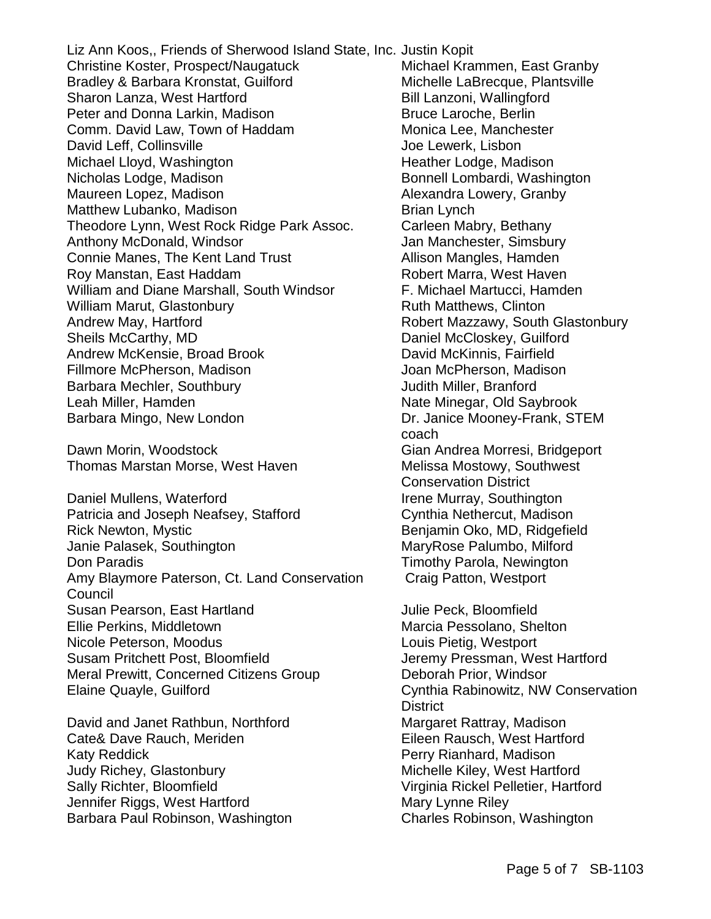Liz Ann Koos,, Friends of Sherwood Island State, Inc. Justin Kopit Christine Koster, Prospect/Naugatuck Michael Krammen, East Granby Bradley & Barbara Kronstat, Guilford Michelle LaBrecque, Plantsville Sharon Lanza, West Hartford Bill Lanzoni, Wallingford Peter and Donna Larkin, Madison Bruce Laroche, Berlin Comm. David Law, Town of Haddam Monica Lee, Manchester David Leff, Collinsville Voltage Joe Lewerk, Lisbon Michael Lloyd, Washington **Heather Lodge, Madison** Nicholas Lodge, Madison **Bonnell Lombardi, Washington** Maureen Lopez, Madison **Alexandra Lowery, Granby** Matthew Lubanko, Madison Brian Lynch Theodore Lynn, West Rock Ridge Park Assoc. Carleen Mabry, Bethany Anthony McDonald, Windsor **Jan Manchester, Simsbury** Connie Manes, The Kent Land Trust **Allison Mangles**, Hamden Roy Manstan, East Haddam Robert Marra, West Haven William and Diane Marshall, South Windsor F. Michael Martucci, Hamden William Marut, Glastonbury **Ruth Matthews, Clinton** Andrew May, Hartford **Robert Mazzawy, South Glastonbury** Sheils McCarthy, MD Daniel McCloskey, Guilford Andrew McKensie, Broad Brook David McKinnis, Fairfield Fillmore McPherson, Madison Joan McPherson, Madison Barbara Mechler, Southbury **Contract Contract Contract Contract Contract Contract Contract Contract Contract Contract Contract Contract Contract Contract Contract Contract Contract Contract Contract Contract Contract Contr** Leah Miller, Hamden Nate Minegar, Old Saybrook Barbara Mingo, New London Dr. Janice Mooney-Frank, STEM

Dawn Morin, Woodstock Gian Andrea Morresi, Bridgeport Thomas Marstan Morse, West Haven Melissa Mostowy, Southwest

Daniel Mullens, Waterford **Irene Murray, Southington** Patricia and Joseph Neafsey, Stafford Cynthia Nethercut, Madison Rick Newton, Mystic **Benjamin Oko, MD, Ridgefield** Janie Palasek, Southington MaryRose Palumbo, Milford Don Paradis **Timothy Parola**, Newington Amy Blaymore Paterson, Ct. Land Conservation Craig Patton, Westport Council Susan Pearson, East Hartland **Constanting Constanting Constanting Constanting Constanting Constanting Constanting** Ellie Perkins, Middletown Marcia Pessolano, Shelton Nicole Peterson, Moodus **Louis Pietig, Westport** Susam Pritchett Post, Bloomfield **Gust Comes and Susam Pritchett Post, Bloomfield** Jeremy Pressman, West Hartford Meral Prewitt, Concerned Citizens Group **Deborah Prior, Windsor** Elaine Quayle, Guilford Cynthia Rabinowitz, NW Conservation

David and Janet Rathbun, Northford Margaret Rattray, Madison Cate& Dave Rauch, Meriden Eileen Rausch, West Hartford Katy Reddick **Perry Rianhard, Madison** Judy Richey, Glastonbury **Michelle Kiley, West Hartford** Sally Richter, Bloomfield **Virginia Rickel Pelletier**, Hartford Jennifer Riggs, West Hartford Mary Lynne Riley Barbara Paul Robinson, Washington Charles Robinson, Washington

coach Conservation District

**District**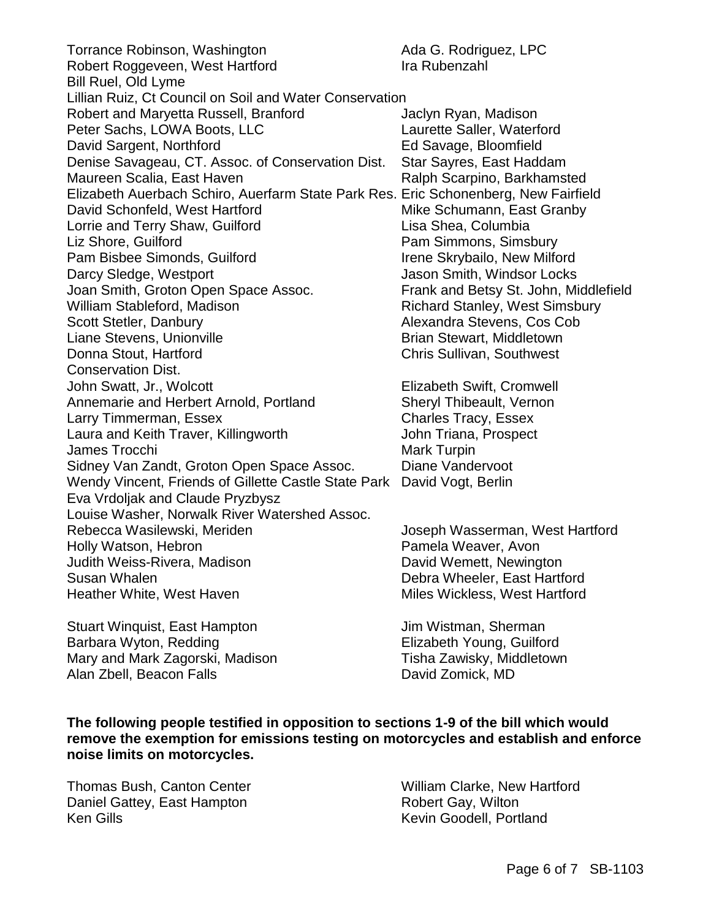Torrance Robinson, Washington **Ada G. Rodriguez, LPC** Robert Roggeveen, West Hartford Ira Rubenzahl Bill Ruel, Old Lyme Lillian Ruiz, Ct Council on Soil and Water Conservation Robert and Maryetta Russell, Branford **Franklin** Jaclyn Ryan, Madison Peter Sachs, LOWA Boots, LLC Laurette Saller, Waterford David Sargent, Northford **Ed Savage, Bloomfield** Denise Savageau, CT. Assoc. of Conservation Dist. Star Sayres, East Haddam Maureen Scalia, East Haven **Ralph Scarpino, Barkhamsted** Elizabeth Auerbach Schiro, Auerfarm State Park Res. Eric Schonenberg, New Fairfield David Schonfeld, West Hartford Mike Schumann, East Granby Lorrie and Terry Shaw, Guilford Lisa Shea, Columbia Liz Shore, Guilford **Pam Simmons, Simsbury** Pam Bisbee Simonds, Guilford Irene Skrybailo, New Milford Darcy Sledge, Westport **Variable 2018** Jason Smith, Windsor Locks Joan Smith, Groton Open Space Assoc. Frank and Betsy St. John, Middlefield William Stableford, Madison **Richard Stanley, West Simsbury** Scott Stetler, Danbury **Alexandra Stevens, Cos Cob** Liane Stevens, Unionville **Brian Stewart, Middletown** Donna Stout, Hartford Chris Sullivan, Southwest Conservation Dist. John Swatt, Jr., Wolcott **Elizabeth Swift, Cromwell** Annemarie and Herbert Arnold, Portland Sheryl Thibeault, Vernon Larry Timmerman, Essex Charles Tracy, Essex Laura and Keith Traver, Killingworth **Frankling John Triana, Prospect** James Trocchi and The Contract of the Mark Turpin Sidney Van Zandt, Groton Open Space Assoc. Diane Vandervoot Wendy Vincent, Friends of Gillette Castle State Park David Vogt, Berlin Eva Vrdoljak and Claude Pryzbysz Louise Washer, Norwalk River Watershed Assoc. Rebecca Wasilewski, Meriden and America Joseph Wasserman, West Hartford Holly Watson, Hebron **Pamela Weaver, Avon** Judith Weiss-Rivera, Madison David Wemett, Newington Susan Whalen<br>
Heather White, West Haven<br>
Heather White, West Haven<br>
Debra Wheeler, East Hartford Heather White, West Haven

Stuart Winquist, East Hampton **Juliet Stuart Winguist**, East Hampton Juliet Communist Communist Communist Commun Barbara Wyton, Redding **Elizabeth Young, Guilford** Mary and Mark Zagorski, Madison Tisha Zawisky, Middletown<br>Alan Zbell, Beacon Falls (Alan Zomick, MD) Alan Zbell, Beacon Falls

**The following people testified in opposition to sections 1-9 of the bill which would remove the exemption for emissions testing on motorcycles and establish and enforce noise limits on motorcycles.**

Daniel Gattey, East Hampton **Robert Gay, Wilton** Ken Gills **Kevin Goodell, Portland** 

Thomas Bush, Canton Center William Clarke, New Hartford